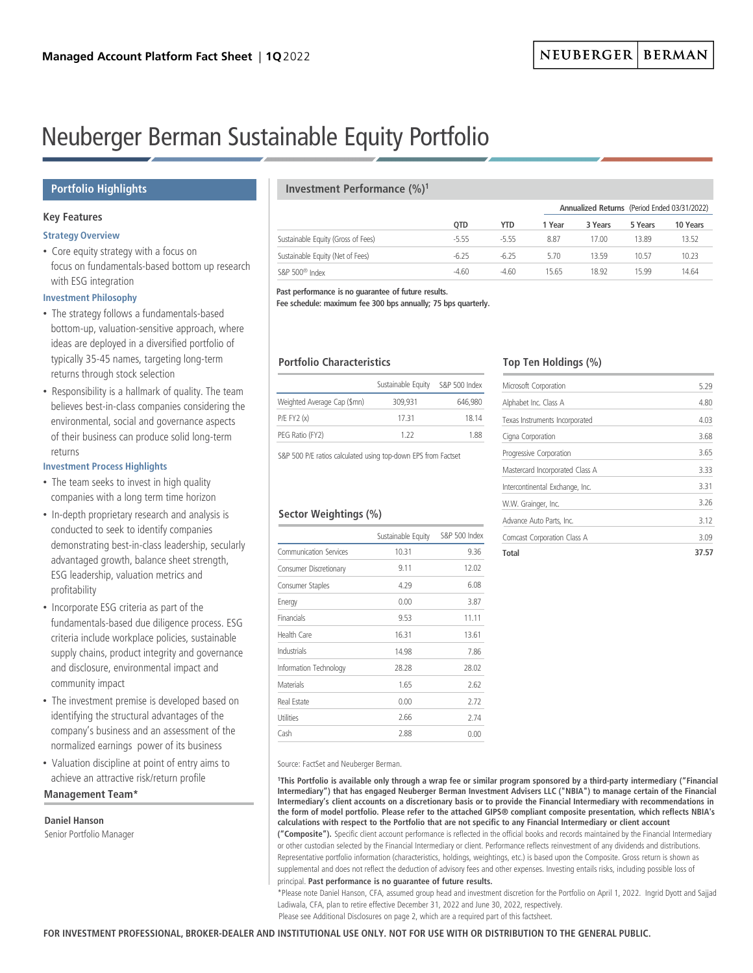# Neuberger Berman Sustainable Equity Portfolio

## **Portfolio Highlights**

## **Key Features**

## **Strategy Overview**

• Core equity strategy with a focus on focus on fundamentals-based bottom up research with ESG integration

## **Investment Philosophy**

- The strategy follows a fundamentals-based bottom-up, valuation-sensitive approach, where ideas are deployed in a diversified portfolio of typically 35-45 names, targeting long-term returns through stock selection
- Responsibility is a hallmark of quality. The team believes best-in-class companies considering the environmental, social and governance aspects of their business can produce solid long-term returns

## **Investment Process Highlights**

- The team seeks to invest in high quality companies with a long term time horizon
- In-depth proprietary research and analysis is conducted to seek to identify companies demonstrating best-in-class leadership, secularly advantaged growth, balance sheet strength, ESG leadership, valuation metrics and profitability
- Incorporate ESG criteria as part of the fundamentals-based due diligence process. ESG criteria include workplace policies, sustainable supply chains, product integrity and governance and disclosure, environmental impact and community impact
- The investment premise is developed based on identifying the structural advantages of the company's business and an assessment of the normalized earnings power of its business
- Valuation discipline at point of entry aims to achieve an attractive risk/return profile

## **Management Team\***

## **Daniel Hanson**

Senior Portfolio Manager

## **Investment Performance (%)1**

|                                    |            |            |        |         |         | Annualized Returns (Period Ended 03/31/2022) |  |
|------------------------------------|------------|------------|--------|---------|---------|----------------------------------------------|--|
|                                    | <b>OTD</b> | <b>YTD</b> | 1 Year | 3 Years | 5 Years | 10 Years                                     |  |
| Sustainable Equity (Gross of Fees) | $-5.55$    | $-555$     | 8.87   | 17.00   | 13.89   | 13.52                                        |  |
| Sustainable Equity (Net of Fees)   | $-6.25$    | $-6.25$    | 5.70   | 13 59   | 10.57   | 10.23                                        |  |
| S&P 500 <sup>®</sup> Index         | $-4.60$    | $-4.60$    | 15.65  | 18.92   | 15 99   | 14.64                                        |  |

**Past performance is no guarantee of future results.**

**Fee schedule: maximum fee 300 bps annually; 75 bps quarterly.**

## **Portfolio Characteristics**

|                             | Sustainable Equity | S&P 500 Index |  |  |
|-----------------------------|--------------------|---------------|--|--|
| Weighted Average Cap (\$mn) | 309.931            | 646.980       |  |  |
| P/E FY2(x)                  | 1731               | 18 14         |  |  |
| PEG Ratio (FY2)             | 1 22               | 188           |  |  |

S&P 500 P/E ratios calculated using top-down EPS from Factset

## **Sector Weightings (%)**

|                        | Sustainable Equity | S&P 500 Index |
|------------------------|--------------------|---------------|
| Communication Services | 10.31              | 9.36          |
| Consumer Discretionary | 9.11               | 12.02         |
| Consumer Staples       | 4.29               | 6.08          |
| Energy                 | 0.00               | 3.87          |
| Financials             | 9.53               | 11.11         |
| Health Care            | 16.31              | 13.61         |
| Industrials            | 14.98              | 7.86          |
| Information Technology | 28.28              | 28.02         |
| Materials              | 1.65               | 2.62          |
| Real Estate            | 0.00               | 2.72          |
| Utilities              | 2.66               | 2.74          |
| Cash                   | 2.88               | 0.00          |

## **Top Ten Holdings (%)**

| Total                           | 37.57 |
|---------------------------------|-------|
| Comcast Corporation Class A     | 3.09  |
| Advance Auto Parts, Inc.        | 3.12  |
| W.W. Grainger, Inc.             | 3.26  |
| Intercontinental Exchange, Inc. | 3.31  |
| Mastercard Incorporated Class A | 3.33  |
| Progressive Corporation         | 3.65  |
| Cigna Corporation               | 3.68  |
| Texas Instruments Incorporated  | 4.03  |
| Alphabet Inc. Class A           | 4.80  |
| Microsoft Corporation           | 5.29  |
|                                 |       |

Source: FactSet and Neuberger Berman.

**1This Portfolio is available only through a wrap fee or similar program sponsored by a third-party intermediary ("Financial Intermediary") that has engaged Neuberger Berman Investment Advisers LLC ("NBIA") to manage certain of the Financial Intermediary's client accounts on a discretionary basis or to provide the Financial Intermediary with recommendations in the form of model portfolio. Please refer to the attached GIPS® compliant composite presentation, which reflects NBIA's calculations with respect to the Portfolio that are not specific to any Financial Intermediary or client account ("Composite").** Specific client account performance is reflected in the official books and records maintained by the Financial Intermediary or other custodian selected by the Financial Intermediary or client. Performance reflects reinvestment of any dividends and distributions. Representative portfolio information (characteristics, holdings, weightings, etc.) is based upon the Composite. Gross return is shown as supplemental and does not reflect the deduction of advisory fees and other expenses. Investing entails risks, including possible loss of principal. **Past performance is no guarantee of future results.**

\*Please note Daniel Hanson, CFA, assumed group head and investment discretion for the Portfolio on April 1, 2022. Ingrid Dyott and Sajjad Ladiwala, CFA, plan to retire effective December 31, 2022 and June 30, 2022, respectively. Please see Additional Disclosures on page 2, which are a required part of this factsheet.